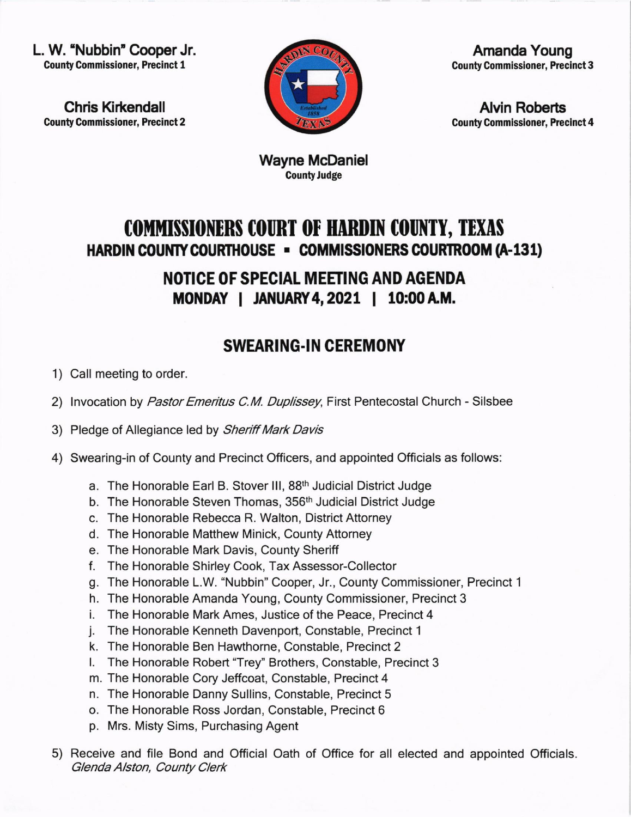L. W. 'Nubbin" Cooper Jr. County Commissioner, Precinct 1

Chris Kirkendall County Commlssioner, Precinct 2



Amanda Young County Commlssloner, Precinct 3

Alvin Roberts County Commlssloner, Precinct 4

Wayne McDaniel **County Judge** 

## COMMISSIONERS COURT OF HARDIN COUNTY, TEXAS HARDIN COUNTY COURTHOUSE - COMMISSIONERS COURTROOM (A-131)

NOTICE OF SPECIAL MEETING AND AGENDA MONDAY | JANUARY 4, 2021 | 10:00 A.M.

## SWEAR!NG.IN CEREMONY

- 1) Call meeting to order
- 2) Invocation by *Pastor Emeritus C.M. Duplissey*, First Pentecostal Church Silsbee
- 3) Pledge of Allegiance led by Sheriff Mark Davis
- 4) Swearing-in of County and Precinct Officers, and appointed Officials as follows:
	- a. The Honorable Earl B. Stover lll, 88th Judicial District Judge
	- b. The Honorable Steven Thomas, 356<sup>th</sup> Judicial District Judge
	- c. The Honorable Rebecca R. Walton, District Attorney
	- d. The Honorable Matthew Minick, County Attorney
	- e. The Honorable Mark Davis, County Sheriff
	- f. The Honorable Shirley Cook, Tax Assessor-Collector
	- g. The Honorable L.W. "Nubbin" Cooper, Jr., County Commissioner, Precinct <sup>1</sup>
	- h. The Honorable Amanda Young, County Commissioner, Precinct 3
	- i. The Honorable Mark Ames, Justice of the Peace, Precinct <sup>4</sup>
	- j. The Honorable Kenneth Davenport, Constable, Precinct <sup>1</sup>
	- k. The Honorable Ben Hawthorne, Constable, Precinct <sup>2</sup>
	- l. The Honorable Robert "Trey" Brothers, Constable, Precinct <sup>3</sup>
	- m. The Honorable Cory Jeffcoat, Constable, Precinct 4
	- n. The Honorable Danny Sullins, Constable, Precinct 5
	- o. The Honorable Ross Jordan, Constable, Precinct 6
	- p. Mrs. Misty Sims, Purchasing Agent
- 5) Receive and file Bond and Official Oath of Office for all elected and appointed Officials. Glenda Alston, County Clerk